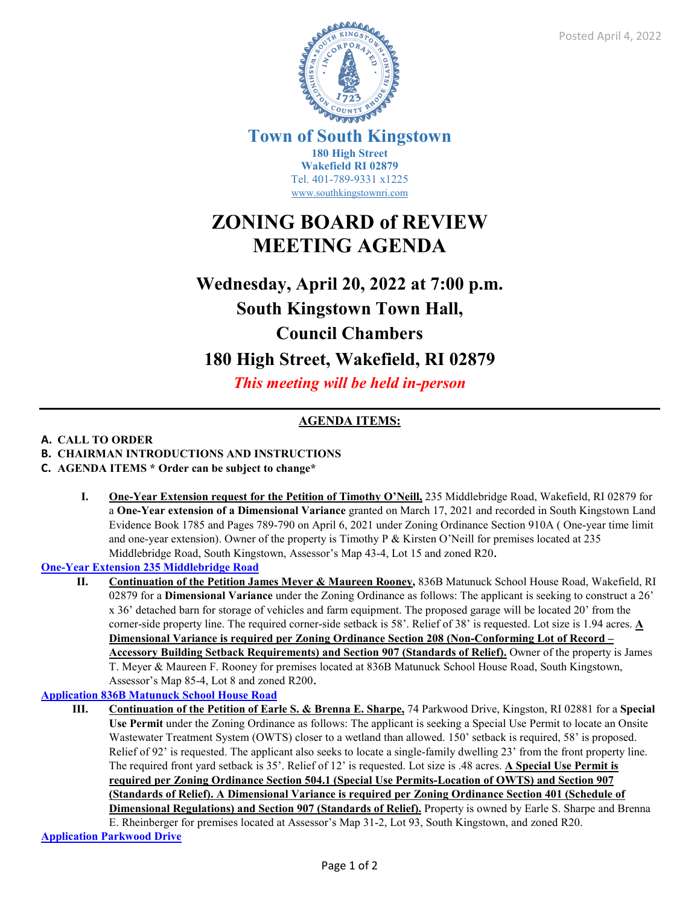

**Town of South Kingstown 180 High Street Wakefield RI 02879** Tel. 401-789-9331 x1225 [www.southkingstownri.com](http://www.southkingstownri.com/)

# **ZONING BOARD of REVIEW MEETING AGENDA**

# **Wednesday, April 20, 2022 at 7:00 p.m. South Kingstown Town Hall, Council Chambers**

# **180 High Street, Wakefield, RI 02879**

*This meeting will be held in-person* 

# **AGENDA ITEMS:**

## **A. CALL TO ORDER**

- **B. CHAIRMAN INTRODUCTIONS AND INSTRUCTIONS**
- **C. AGENDA ITEMS \* Order can be subject to change\*** 
	- **I. One-Year Extension request for the Petition of Timothy O'Neill,** 235 Middlebridge Road, Wakefield, RI 02879 for a **One-Year extension of a Dimensional Variance** granted on March 17, 2021 and recorded in South Kingstown Land Evidence Book 1785 and Pages 789-790 on April 6, 2021 under Zoning Ordinance Section 910A ( One-year time limit and one-year extension). Owner of the property is Timothy P & Kirsten O'Neill for premises located at 235 Middlebridge Road, South Kingstown, Assessor's Map 43-4, Lot 15 and zoned R20.

**[One-Year Extension 235 Middlebridge Road](https://www.southkingstownri.com/DocumentCenter/View/9709/235-Middlebridge-Road-One-Year-Extension-Request)**

**II. Continuation of the Petition James Meyer & Maureen Rooney,** 836B Matunuck School House Road, Wakefield, RI 02879 for a **Dimensional Variance** under the Zoning Ordinance as follows: The applicant is seeking to construct a 26' x 36' detached barn for storage of vehicles and farm equipment. The proposed garage will be located 20' from the corner-side property line. The required corner-side setback is 58'. Relief of 38' is requested. Lot size is 1.94 acres. **A Dimensional Variance is required per Zoning Ordinance Section 208 (Non-Conforming Lot of Record – Accessory Building Setback Requirements) and Section 907 (Standards of Relief).** Owner of the property is James T. Meyer & Maureen F. Rooney for premises located at 836B Matunuck School House Road, South Kingstown, Assessor's Map 85-4, Lot 8 and zoned R200.

## **[Application 836B Matunuck School House Road](https://www.southkingstownri.com/DocumentCenter/View/9521/Application-836B-Mat-School-House-Road)**

**III. Continuation of the Petition of Earle S. & Brenna E. Sharpe,** 74 Parkwood Drive, Kingston, RI 02881 for a **Special Use Permit** under the Zoning Ordinance as follows: The applicant is seeking a Special Use Permit to locate an Onsite Wastewater Treatment System (OWTS) closer to a wetland than allowed. 150' setback is required, 58' is proposed. Relief of 92' is requested. The applicant also seeks to locate a single-family dwelling 23' from the front property line. The required front yard setback is 35'. Relief of 12' is requested. Lot size is .48 acres. **A Special Use Permit is required per Zoning Ordinance Section 504.1 (Special Use Permits-Location of OWTS) and Section 907 (Standards of Relief). A Dimensional Variance is required per Zoning Ordinance Section 401 (Schedule of Dimensional Regulations) and Section 907 (Standards of Relief).** Property is owned by Earle S. Sharpe and Brenna E. Rheinberger for premises located at Assessor's Map 31-2, Lot 93, South Kingstown, and zoned R20.

**[Application Parkwood Drive](https://www.southkingstownri.com/DocumentCenter/View/9629/Parkwood-Drive-Application)**